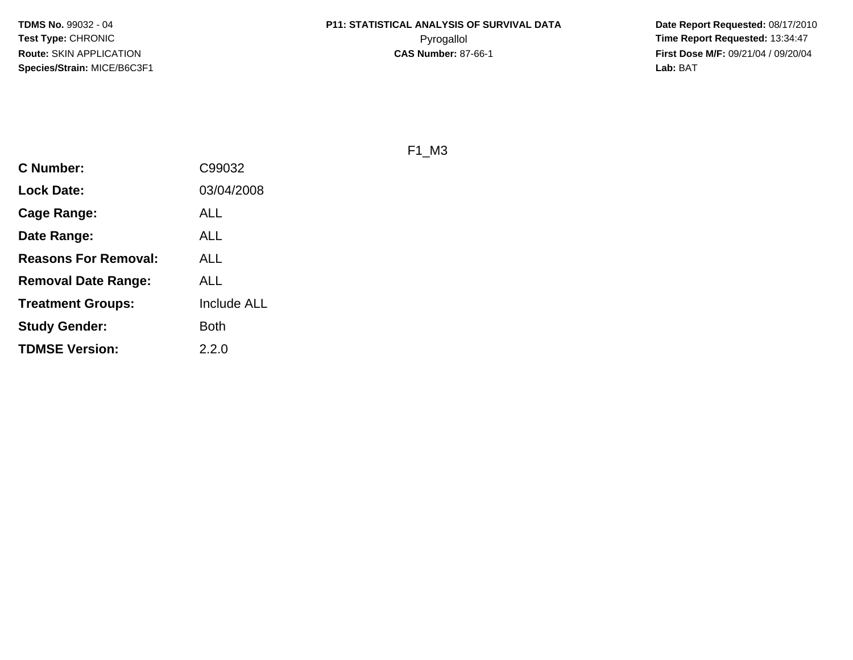**Date Report Requested:** 08/17/2010 **First Dose M/F:** 09/21/04 / 09/20/04<br>Lab: BAT **Lab:** BAT

F1\_M3

| <b>C</b> Number:            | C99032             |
|-----------------------------|--------------------|
| <b>Lock Date:</b>           | 03/04/2008         |
| Cage Range:                 | ALL                |
| Date Range:                 | ALL                |
| <b>Reasons For Removal:</b> | ALL                |
| <b>Removal Date Range:</b>  | ALL                |
| <b>Treatment Groups:</b>    | <b>Include ALL</b> |
| <b>Study Gender:</b>        | <b>Both</b>        |
| <b>TDMSE Version:</b>       | 2.2.0              |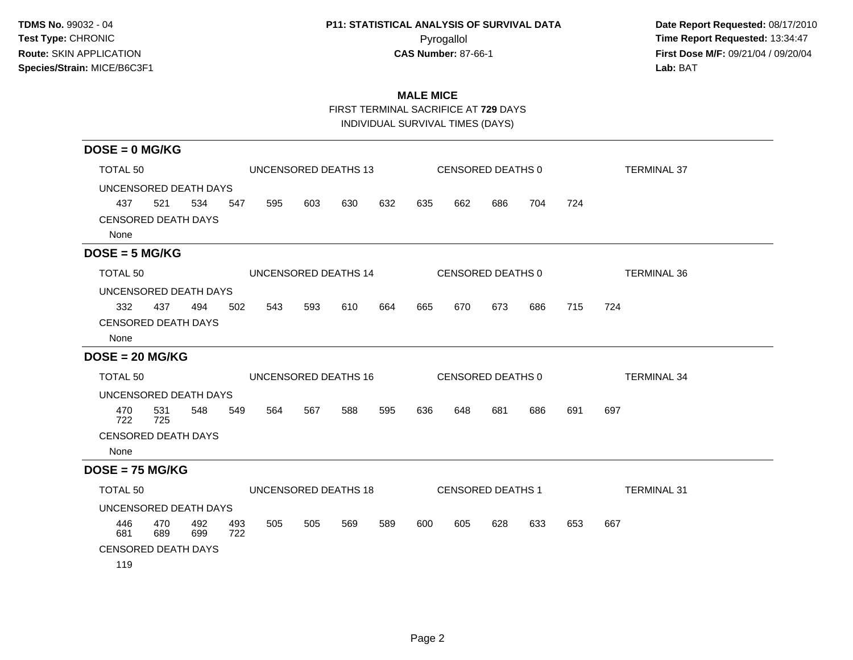# **P11: STATISTICAL ANALYSIS OF SURVIVAL DATA**

 **Date Report Requested:** 08/17/2010 Pyrogallol Pyrogallol **Pyrogallol Time Report Requested:** 13:34:47<br>**CAS Number:** 87-66-1 **Time Report Requested:** 13:34:47 **First Dose M/F:** 09/21/04 / 09/20/04<br>Lab: BAT **Lab:** BAT

## **MALE MICE**

FIRST TERMINAL SACRIFICE AT **729** DAYS

INDIVIDUAL SURVIVAL TIMES (DAYS)

| $DOSE = 0$ MG/KG                   |                      |            |            |     |     |                      |     |                   |                          |     |                    |     |                    |
|------------------------------------|----------------------|------------|------------|-----|-----|----------------------|-----|-------------------|--------------------------|-----|--------------------|-----|--------------------|
| TOTAL <sub>50</sub>                | UNCENSORED DEATHS 13 |            |            |     |     |                      |     | CENSORED DEATHS 0 |                          |     | <b>TERMINAL 37</b> |     |                    |
| UNCENSORED DEATH DAYS              |                      |            |            |     |     |                      |     |                   |                          |     |                    |     |                    |
| 437                                | 521                  | 534        | 547        | 595 | 603 | 630                  | 632 | 635               | 662                      | 686 | 704                | 724 |                    |
| <b>CENSORED DEATH DAYS</b><br>None |                      |            |            |     |     |                      |     |                   |                          |     |                    |     |                    |
| $DOSE = 5 MG/KG$                   |                      |            |            |     |     |                      |     |                   |                          |     |                    |     |                    |
| TOTAL <sub>50</sub>                |                      |            |            |     |     | UNCENSORED DEATHS 14 |     |                   | CENSORED DEATHS 0        |     |                    |     | <b>TERMINAL 36</b> |
| UNCENSORED DEATH DAYS              |                      |            |            |     |     |                      |     |                   |                          |     |                    |     |                    |
| 332                                | 437                  | 494        | 502        | 543 | 593 | 610                  | 664 | 665               | 670                      | 673 | 686                | 715 | 724                |
| <b>CENSORED DEATH DAYS</b><br>None |                      |            |            |     |     |                      |     |                   |                          |     |                    |     |                    |
| $DOSE = 20 MG/KG$                  |                      |            |            |     |     |                      |     |                   |                          |     |                    |     |                    |
| TOTAL 50                           |                      |            |            |     |     | UNCENSORED DEATHS 16 |     |                   | CENSORED DEATHS 0        |     |                    |     | <b>TERMINAL 34</b> |
| UNCENSORED DEATH DAYS              |                      |            |            |     |     |                      |     |                   |                          |     |                    |     |                    |
| 470<br>722                         | 531<br>725           | 548        | 549        | 564 | 567 | 588                  | 595 | 636               | 648                      | 681 | 686                | 691 | 697                |
| <b>CENSORED DEATH DAYS</b>         |                      |            |            |     |     |                      |     |                   |                          |     |                    |     |                    |
| None                               |                      |            |            |     |     |                      |     |                   |                          |     |                    |     |                    |
| $DOSE = 75 MG/KG$                  |                      |            |            |     |     |                      |     |                   |                          |     |                    |     |                    |
| TOTAL <sub>50</sub>                |                      |            |            |     |     | UNCENSORED DEATHS 18 |     |                   | <b>CENSORED DEATHS 1</b> |     |                    |     | <b>TERMINAL 31</b> |
| UNCENSORED DEATH DAYS              |                      |            |            |     |     |                      |     |                   |                          |     |                    |     |                    |
| 446<br>681                         | 470<br>689           | 492<br>699 | 493<br>722 | 505 | 505 | 569                  | 589 | 600               | 605                      | 628 | 633                | 653 | 667                |
| <b>CENSORED DEATH DAYS</b>         |                      |            |            |     |     |                      |     |                   |                          |     |                    |     |                    |
| 119                                |                      |            |            |     |     |                      |     |                   |                          |     |                    |     |                    |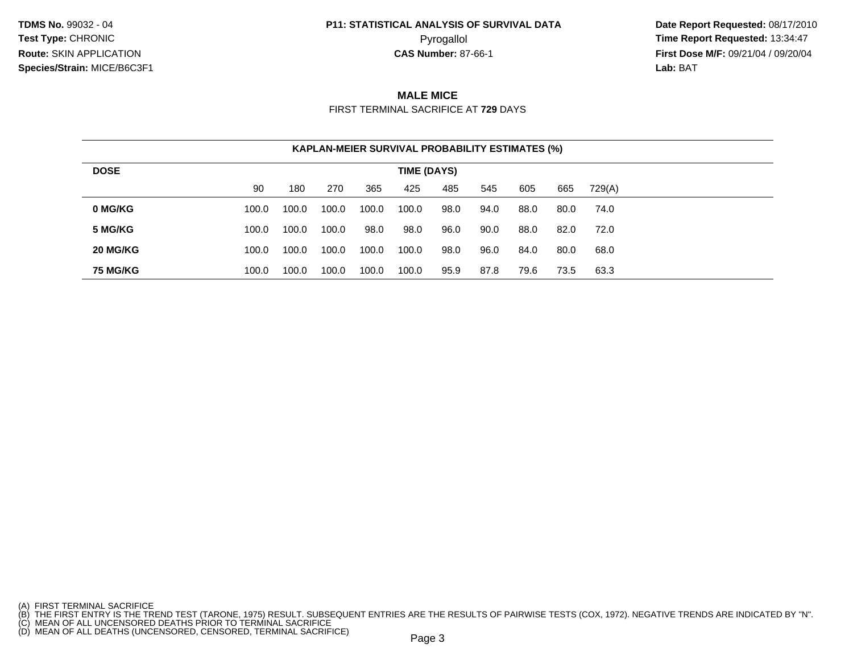# **P11: STATISTICAL ANALYSIS OF SURVIVAL DATA**

 **Date Report Requested:** 08/17/2010 Pyrogallol **Time Report Requested:** 13:34:47 **First Dose M/F:** 09/21/04 / 09/20/04<br>**Lab:** BAT **Lab:** BAT

### **MALE MICE**

FIRST TERMINAL SACRIFICE AT **729** DAYS

| <b>KAPLAN-MEIER SURVIVAL PROBABILITY ESTIMATES (%)</b> |             |       |       |       |       |      |      |      |      |        |  |  |
|--------------------------------------------------------|-------------|-------|-------|-------|-------|------|------|------|------|--------|--|--|
| <b>DOSE</b>                                            | TIME (DAYS) |       |       |       |       |      |      |      |      |        |  |  |
|                                                        | 90          | 180   | 270   | 365   | 425   | 485  | 545  | 605  | 665  | 729(A) |  |  |
| 0 MG/KG                                                | 100.0       | 100.0 | 100.0 | 100.0 | 100.0 | 98.0 | 94.0 | 88.0 | 80.0 | 74.0   |  |  |
| 5 MG/KG                                                | 100.0       | 100.0 | 100.0 | 98.0  | 98.0  | 96.0 | 90.0 | 88.0 | 82.0 | 72.0   |  |  |
| 20 MG/KG                                               | 100.0       | 100.0 | 100.0 | 100.0 | 100.0 | 98.0 | 96.0 | 84.0 | 80.0 | 68.0   |  |  |
| <b>75 MG/KG</b>                                        | 100.0       | 100.0 | 100.0 | 100.0 | 100.0 | 95.9 | 87.8 | 79.6 | 73.5 | 63.3   |  |  |

- 
- 

<sup>(</sup>A) FIRST TERMINAL SACRIFICE<br>(B) THE FIRST ENTRY IS THE TREND TEST (TARONE, 1975) RESULT. SUBSEQUENT ENTRIES ARE THE RESULTS OF PAIRWISE TESTS (COX, 1972). NEGATIVE TRENDS ARE INDICATED BY "N".<br>(C) MEAN OF ALL UNCENSORED D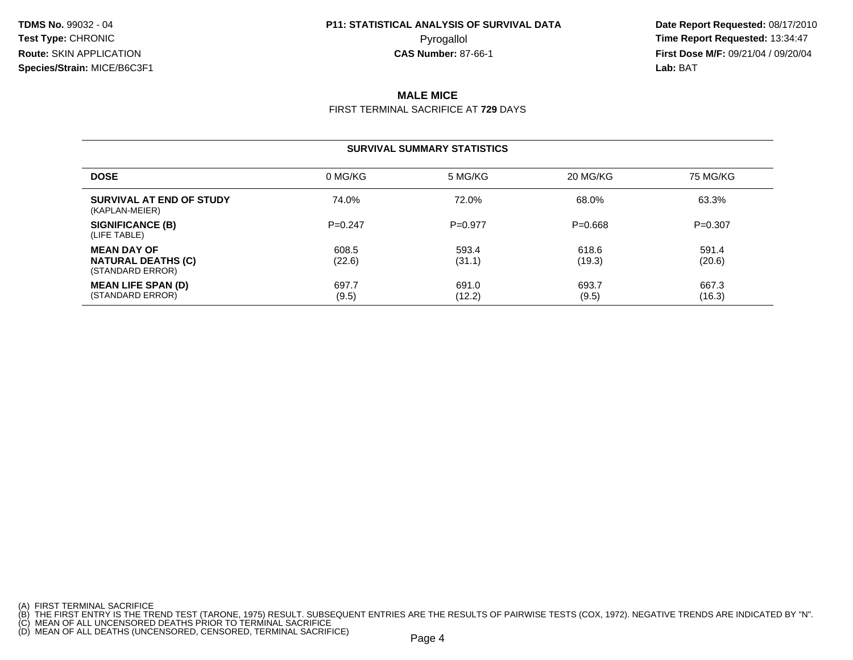# **P11: STATISTICAL ANALYSIS OF SURVIVAL DATA**

 **Date Report Requested:** 08/17/2010 Pyrogallol **Time Report Requested:** 13:34:47 **First Dose M/F:** 09/21/04 / 09/20/04<br>**Lab:** BAT **Lab:** BAT

## **MALE MICE**

FIRST TERMINAL SACRIFICE AT **729** DAYS

#### **SURVIVAL SUMMARY STATISTICS**

| <b>DOSE</b>                                                         | 0 MG/KG         | 5 MG/KG         | 20 MG/KG        | 75 MG/KG        |
|---------------------------------------------------------------------|-----------------|-----------------|-----------------|-----------------|
| SURVIVAL AT END OF STUDY<br>(KAPLAN-MEIER)                          | 74.0%           | 72.0%           | 68.0%           | 63.3%           |
| SIGNIFICANCE (B)<br>(LIFE TABLE)                                    | $P=0.247$       | $P=0.977$       | $P = 0.668$     | $P=0.307$       |
| <b>MEAN DAY OF</b><br><b>NATURAL DEATHS (C)</b><br>(STANDARD ERROR) | 608.5<br>(22.6) | 593.4<br>(31.1) | 618.6<br>(19.3) | 591.4<br>(20.6) |
| <b>MEAN LIFE SPAN (D)</b><br>(STANDARD ERROR)                       | 697.7<br>(9.5)  | 691.0<br>(12.2) | 693.7<br>(9.5)  | 667.3<br>(16.3) |

<sup>(</sup>A) FIRST TERMINAL SACRIFICE<br>(B) THE FIRST ENTRY IS THE TREND TEST (TARONE, 1975) RESULT. SUBSEQUENT ENTRIES ARE THE RESULTS OF PAIRWISE TESTS (COX, 1972). NEGATIVE TRENDS ARE INDICATED BY "N".<br>(C) MEAN OF ALL UNCENSORED D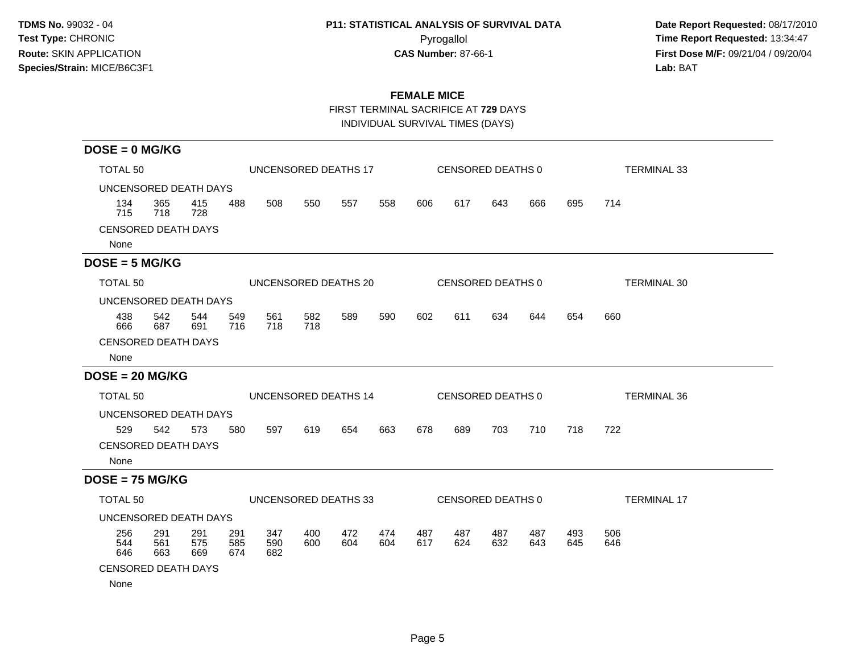# **P11: STATISTICAL ANALYSIS OF SURVIVAL DATA**

 **Date Report Requested:** 08/17/2010 Pyrogallol Pyrogallol **Pyrogallol Time Report Requested:** 13:34:47<br>**CAS Number:** 87-66-1 **Time Report Requested:** 13:34:47 **First Dose M/F:** 09/21/04 / 09/20/04<br>Lab: BAT **Lab:** BAT

## **FEMALE MICE**

FIRST TERMINAL SACRIFICE AT **729** DAYS

INDIVIDUAL SURVIVAL TIMES (DAYS)

| $DOSE = 0$ MG/KG           |                       |                      |                   |                      |            |            |            |            |            |                   |            |                    |                    |  |
|----------------------------|-----------------------|----------------------|-------------------|----------------------|------------|------------|------------|------------|------------|-------------------|------------|--------------------|--------------------|--|
| TOTAL 50                   |                       | UNCENSORED DEATHS 17 |                   |                      |            |            |            |            |            | CENSORED DEATHS 0 |            | <b>TERMINAL 33</b> |                    |  |
|                            | UNCENSORED DEATH DAYS |                      |                   |                      |            |            |            |            |            |                   |            |                    |                    |  |
| 134<br>715                 | 365<br>718            | 415<br>728           | 488               | 508                  | 550        | 557        | 558        | 606        | 617        | 643               | 666        | 695                | 714                |  |
| <b>CENSORED DEATH DAYS</b> |                       |                      |                   |                      |            |            |            |            |            |                   |            |                    |                    |  |
| None                       |                       |                      |                   |                      |            |            |            |            |            |                   |            |                    |                    |  |
| $DOSE = 5 MG/KG$           |                       |                      |                   |                      |            |            |            |            |            |                   |            |                    |                    |  |
| TOTAL 50                   |                       |                      |                   | UNCENSORED DEATHS 20 |            |            |            |            |            | CENSORED DEATHS 0 |            |                    | <b>TERMINAL 30</b> |  |
| UNCENSORED DEATH DAYS      |                       |                      |                   |                      |            |            |            |            |            |                   |            |                    |                    |  |
| 438<br>666                 | 542<br>687            | 544<br>691           | 549<br>716        | 561<br>718           | 582<br>718 | 589        | 590        | 602        | 611        | 634               | 644        | 654                | 660                |  |
| <b>CENSORED DEATH DAYS</b> |                       |                      |                   |                      |            |            |            |            |            |                   |            |                    |                    |  |
| None                       |                       |                      |                   |                      |            |            |            |            |            |                   |            |                    |                    |  |
| $DOSE = 20 MG/KG$          |                       |                      |                   |                      |            |            |            |            |            |                   |            |                    |                    |  |
| TOTAL 50                   |                       |                      |                   | UNCENSORED DEATHS 14 |            |            |            |            |            | CENSORED DEATHS 0 |            |                    | <b>TERMINAL 36</b> |  |
| UNCENSORED DEATH DAYS      |                       |                      |                   |                      |            |            |            |            |            |                   |            |                    |                    |  |
| 529                        | 542                   | 573                  | 580               | 597                  | 619        | 654        | 663        | 678        | 689        | 703               | 710        | 718                | 722                |  |
| <b>CENSORED DEATH DAYS</b> |                       |                      |                   |                      |            |            |            |            |            |                   |            |                    |                    |  |
| None                       |                       |                      |                   |                      |            |            |            |            |            |                   |            |                    |                    |  |
| $DOSE = 75 MG/KG$          |                       |                      |                   |                      |            |            |            |            |            |                   |            |                    |                    |  |
| <b>TOTAL 50</b>            |                       |                      |                   | UNCENSORED DEATHS 33 |            |            |            |            |            | CENSORED DEATHS 0 |            |                    | <b>TERMINAL 17</b> |  |
| UNCENSORED DEATH DAYS      |                       |                      |                   |                      |            |            |            |            |            |                   |            |                    |                    |  |
| 256<br>544<br>646          | 291<br>561<br>663     | 291<br>575<br>669    | 291<br>585<br>674 | 347<br>590<br>682    | 400<br>600 | 472<br>604 | 474<br>604 | 487<br>617 | 487<br>624 | 487<br>632        | 487<br>643 | 493<br>645         | 506<br>646         |  |
| <b>CENSORED DEATH DAYS</b> |                       |                      |                   |                      |            |            |            |            |            |                   |            |                    |                    |  |
| None                       |                       |                      |                   |                      |            |            |            |            |            |                   |            |                    |                    |  |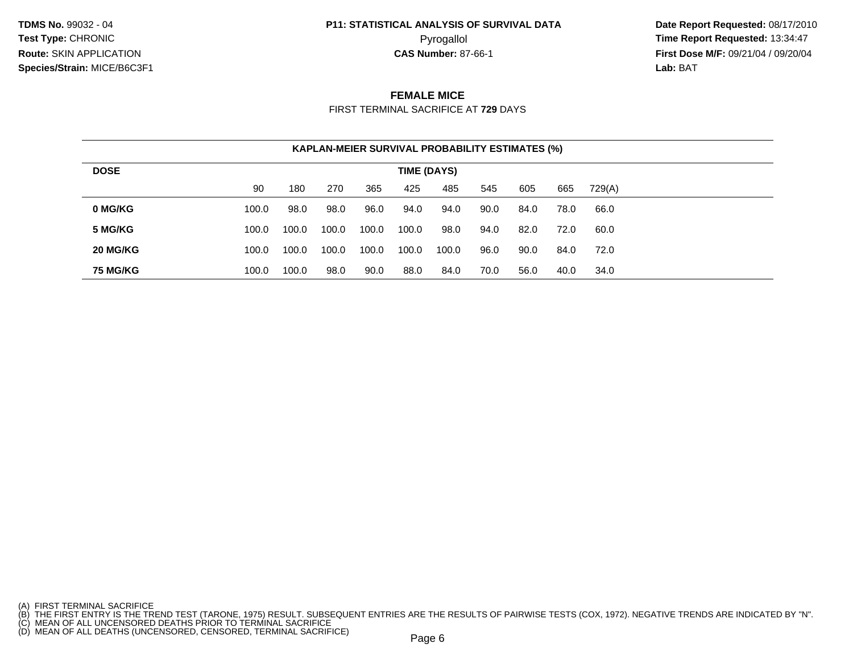# **P11: STATISTICAL ANALYSIS OF SURVIVAL DATA**

 **Date Report Requested:** 08/17/2010 Pyrogallol **Time Report Requested:** 13:34:47 **First Dose M/F:** 09/21/04 / 09/20/04<br>**Lab:** BAT **Lab:** BAT

### **FEMALE MICE**

FIRST TERMINAL SACRIFICE AT **729** DAYS

| <b>KAPLAN-MEIER SURVIVAL PROBABILITY ESTIMATES (%)</b> |             |       |       |       |       |       |      |      |      |        |  |  |  |
|--------------------------------------------------------|-------------|-------|-------|-------|-------|-------|------|------|------|--------|--|--|--|
| <b>DOSE</b>                                            | TIME (DAYS) |       |       |       |       |       |      |      |      |        |  |  |  |
|                                                        | 90          | 180   | 270   | 365   | 425   | 485   | 545  | 605  | 665  | 729(A) |  |  |  |
| 0 MG/KG                                                | 100.0       | 98.0  | 98.0  | 96.0  | 94.0  | 94.0  | 90.0 | 84.0 | 78.0 | 66.0   |  |  |  |
| 5 MG/KG                                                | 100.0       | 100.0 | 100.0 | 100.0 | 100.0 | 98.0  | 94.0 | 82.0 | 72.0 | 60.0   |  |  |  |
| 20 MG/KG                                               | 100.0       | 100.0 | 100.0 | 100.0 | 100.0 | 100.0 | 96.0 | 90.0 | 84.0 | 72.0   |  |  |  |
| <b>75 MG/KG</b>                                        | 100.0       | 100.0 | 98.0  | 90.0  | 88.0  | 84.0  | 70.0 | 56.0 | 40.0 | 34.0   |  |  |  |

<sup>(</sup>A) FIRST TERMINAL SACRIFICE<br>(B) THE FIRST ENTRY IS THE TREND TEST (TARONE, 1975) RESULT. SUBSEQUENT ENTRIES ARE THE RESULTS OF PAIRWISE TESTS (COX, 1972). NEGATIVE TRENDS ARE INDICATED BY "N".<br>(C) MEAN OF ALL UNCENSORED D